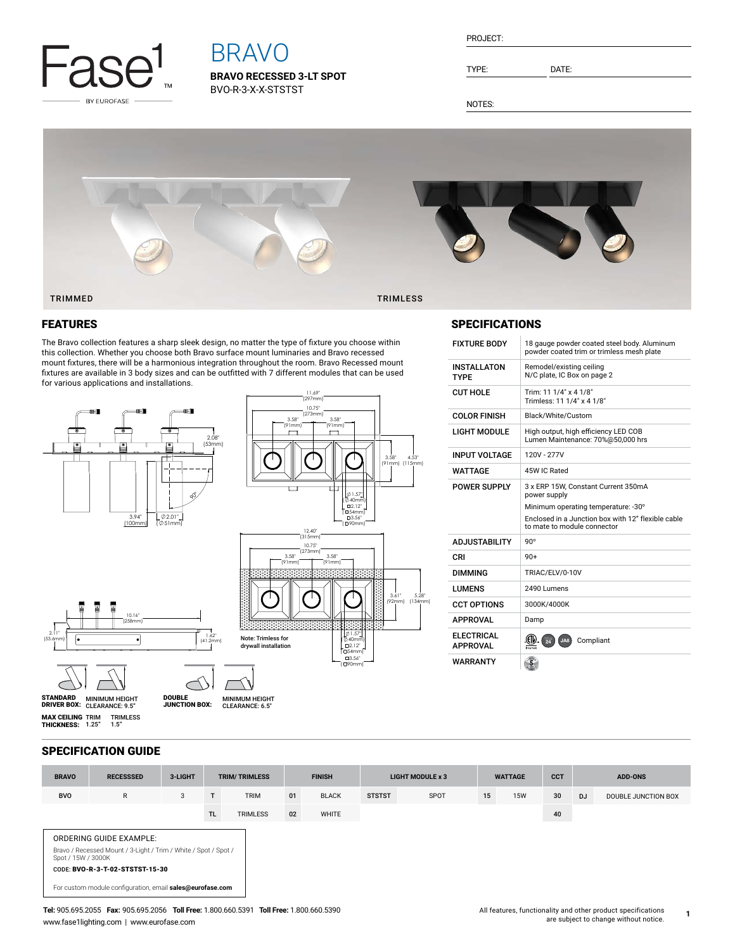

# BRAVO

**BRAVO RECESSED 3-LT SPOT** BVO-R-3-X-X-STSTST

TYPE: DATE:

NOTES:



## FEATURES

The Bravo collection features a sharp sleek design, no matter the type of fixture you choose within this collection. Whether you choose both Bravo surface mount luminaries and Bravo recessed mount fixtures, there will be a harmonious integration throughout the room. Bravo Recessed mount fixtures are available in 3 body sizes and can be outfitted with 7 different modules that can be used for various applications and installations.



## SPECIFICATIONS

| <b>FIXTURE BODY</b>                  | 18 gauge powder coated steel body. Aluminum<br>powder coated trim or trimless mesh plate                                                                                        |  |  |  |  |  |  |  |
|--------------------------------------|---------------------------------------------------------------------------------------------------------------------------------------------------------------------------------|--|--|--|--|--|--|--|
| <b>INSTALLATON</b><br><b>TYPF</b>    | Remodel/existing ceiling<br>N/C plate, IC Box on page 2                                                                                                                         |  |  |  |  |  |  |  |
| <b>CUT HOLE</b>                      | Trim: 11 1/4" x 4 1/8"<br>Trimless: 11 1/4" x 4 1/8"                                                                                                                            |  |  |  |  |  |  |  |
| <b>COLOR FINISH</b>                  | Black/White/Custom                                                                                                                                                              |  |  |  |  |  |  |  |
| <b>LIGHT MODULE</b>                  | High output, high efficiency LED COB<br>Lumen Maintenance: 70%@50,000 hrs                                                                                                       |  |  |  |  |  |  |  |
| <b>INPUT VOLTAGE</b>                 | 120V - 277V                                                                                                                                                                     |  |  |  |  |  |  |  |
| <b>WATTAGF</b>                       | 45W IC Rated                                                                                                                                                                    |  |  |  |  |  |  |  |
| <b>POWER SUPPLY</b>                  | 3 x ERP 15W, Constant Current 350mA<br>power supply<br>Minimum operating temperature: -30°<br>Enclosed in a Junction box with 12" flexible cable<br>to mate to module connector |  |  |  |  |  |  |  |
| <b>ADJUSTABILITY</b>                 | $90^\circ$                                                                                                                                                                      |  |  |  |  |  |  |  |
| CRI                                  | $90+$                                                                                                                                                                           |  |  |  |  |  |  |  |
| <b>DIMMING</b>                       | TRIAC/ELV/0-10V                                                                                                                                                                 |  |  |  |  |  |  |  |
| <b>LUMENS</b>                        | 2490 Lumens                                                                                                                                                                     |  |  |  |  |  |  |  |
| <b>CCT OPTIONS</b>                   | 3000K/4000K                                                                                                                                                                     |  |  |  |  |  |  |  |
| <b>APPROVAL</b>                      | Damp                                                                                                                                                                            |  |  |  |  |  |  |  |
| <b>ELECTRICAL</b><br><b>APPROVAL</b> | 24<br>Compliant<br>JA8                                                                                                                                                          |  |  |  |  |  |  |  |
| WARRANTY                             |                                                                                                                                                                                 |  |  |  |  |  |  |  |

## SPECIFICATION GUIDE

| <b>BRAVO</b>                                                                                                                                        | <b>RECESSSED</b>                                          | 3-LIGHT | <b>TRIM/TRIMLESS</b> |                 | <b>FINISH</b> |              | <b>LIGHT MODULE x 3</b> |      | <b>WATTAGE</b> |            | <b>CCT</b> | <b>ADD-ONS</b> |                     |
|-----------------------------------------------------------------------------------------------------------------------------------------------------|-----------------------------------------------------------|---------|----------------------|-----------------|---------------|--------------|-------------------------|------|----------------|------------|------------|----------------|---------------------|
| <b>BVO</b>                                                                                                                                          | R                                                         | 3       |                      | <b>TRIM</b>     | 01            | <b>BLACK</b> | <b>STSTST</b>           | SPOT | 15             | <b>15W</b> | 30         | DJ             | DOUBLE JUNCTION BOX |
|                                                                                                                                                     |                                                           |         | TL.                  | <b>TRIMLESS</b> | 02            | <b>WHITE</b> |                         |      |                |            | 40         |                |                     |
| ORDERING GUIDE EXAMPLE:<br>Bravo / Recessed Mount / 3-Light / Trim / White / Spot / Spot /<br>Spot / 15W / 3000K<br>CODE: BVO-R-3-T-02-STSTST-15-30 |                                                           |         |                      |                 |               |              |                         |      |                |            |            |                |                     |
|                                                                                                                                                     | For custom module configuration, email sales@eurofase.com |         |                      |                 |               |              |                         |      |                |            |            |                |                     |

**1**